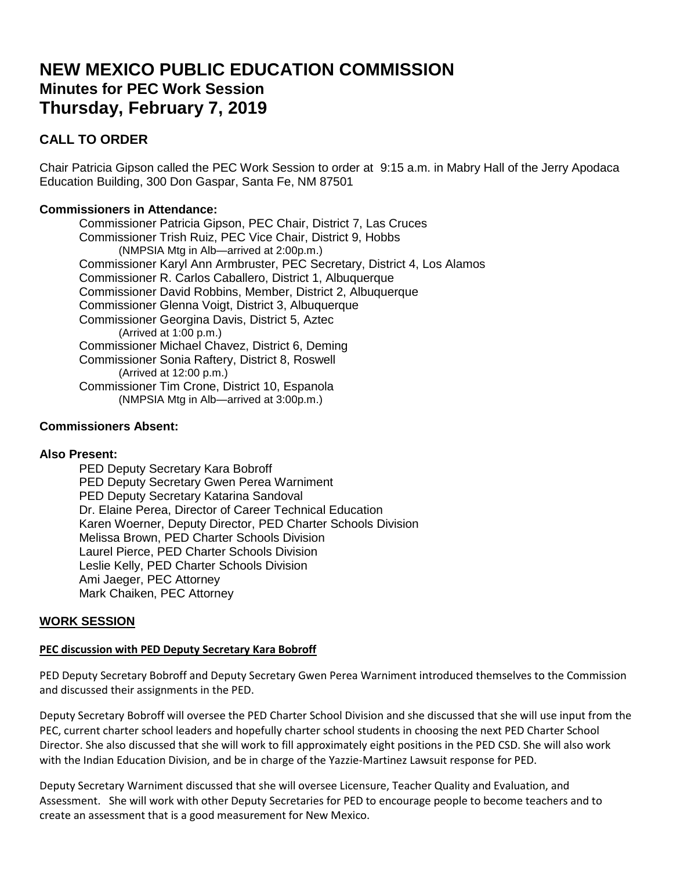# **NEW MEXICO PUBLIC EDUCATION COMMISSION Minutes for PEC Work Session Thursday, February 7, 2019**

# **CALL TO ORDER**

Chair Patricia Gipson called the PEC Work Session to order at 9:15 a.m. in Mabry Hall of the Jerry Apodaca Education Building, 300 Don Gaspar, Santa Fe, NM 87501

# **Commissioners in Attendance:**

Commissioner Patricia Gipson, PEC Chair, District 7, Las Cruces Commissioner Trish Ruiz, PEC Vice Chair, District 9, Hobbs (NMPSIA Mtg in Alb—arrived at 2:00p.m.) Commissioner Karyl Ann Armbruster, PEC Secretary, District 4, Los Alamos Commissioner R. Carlos Caballero, District 1, Albuquerque Commissioner David Robbins, Member, District 2, Albuquerque Commissioner Glenna Voigt, District 3, Albuquerque Commissioner Georgina Davis, District 5, Aztec (Arrived at 1:00 p.m.) Commissioner Michael Chavez, District 6, Deming Commissioner Sonia Raftery, District 8, Roswell (Arrived at 12:00 p.m.) Commissioner Tim Crone, District 10, Espanola (NMPSIA Mtg in Alb—arrived at 3:00p.m.)

# **Commissioners Absent:**

# **Also Present:**

PED Deputy Secretary Kara Bobroff PED Deputy Secretary Gwen Perea Warniment PED Deputy Secretary Katarina Sandoval Dr. Elaine Perea, Director of Career Technical Education Karen Woerner, Deputy Director, PED Charter Schools Division Melissa Brown, PED Charter Schools Division Laurel Pierce, PED Charter Schools Division Leslie Kelly, PED Charter Schools Division Ami Jaeger, PEC Attorney Mark Chaiken, PEC Attorney

# **WORK SESSION**

#### **PEC discussion with PED Deputy Secretary Kara Bobroff**

PED Deputy Secretary Bobroff and Deputy Secretary Gwen Perea Warniment introduced themselves to the Commission and discussed their assignments in the PED.

Deputy Secretary Bobroff will oversee the PED Charter School Division and she discussed that she will use input from the PEC, current charter school leaders and hopefully charter school students in choosing the next PED Charter School Director. She also discussed that she will work to fill approximately eight positions in the PED CSD. She will also work with the Indian Education Division, and be in charge of the Yazzie-Martinez Lawsuit response for PED.

Deputy Secretary Warniment discussed that she will oversee Licensure, Teacher Quality and Evaluation, and Assessment. She will work with other Deputy Secretaries for PED to encourage people to become teachers and to create an assessment that is a good measurement for New Mexico.